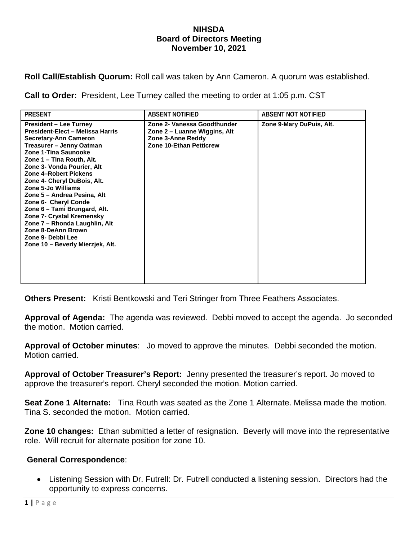## **NIHSDA Board of Directors Meeting November 10, 2021**

**Roll Call/Establish Quorum:** Roll call was taken by Ann Cameron. A quorum was established.

**Call to Order:** President, Lee Turney called the meeting to order at 1:05 p.m. CST

| <b>PRESENT</b>                                                                                                                                                                                                                                                                                                                                                                                                                                                                                                                            | <b>ABSENT NOTIFIED</b>                                                                                             | <b>ABSENT NOT NOTIFIED</b> |
|-------------------------------------------------------------------------------------------------------------------------------------------------------------------------------------------------------------------------------------------------------------------------------------------------------------------------------------------------------------------------------------------------------------------------------------------------------------------------------------------------------------------------------------------|--------------------------------------------------------------------------------------------------------------------|----------------------------|
| <b>President – Lee Turney</b><br>President-Elect - Melissa Harris<br><b>Secretary-Ann Cameron</b><br>Treasurer – Jenny Oatman<br>Zone 1-Tina Saunooke<br>Zone 1 – Tina Routh, Alt.<br>Zone 3- Vonda Pourier, Alt<br><b>Zone 4-Robert Pickens</b><br>Zone 4- Cheryl DuBois, Alt.<br>Zone 5-Jo Williams<br>Zone 5 – Andrea Pesina, Alt<br>Zone 6- Cheryl Conde<br>Zone 6 - Tami Brungard, Alt.<br>Zone 7- Crystal Kremensky<br>Zone 7 - Rhonda Laughlin, Alt<br>Zone 8-DeAnn Brown<br>Zone 9- Debbi Lee<br>Zone 10 - Beverly Mierzjek, Alt. | Zone 2- Vanessa Goodthunder<br>Zone 2 – Luanne Wiggins, Alt<br>Zone 3-Anne Reddy<br><b>Zone 10-Ethan Petticrew</b> | Zone 9-Mary DuPuis, Alt.   |

**Others Present:** Kristi Bentkowski and Teri Stringer from Three Feathers Associates.

**Approval of Agenda:** The agenda was reviewed. Debbi moved to accept the agenda. Jo seconded the motion. Motion carried.

**Approval of October minutes**: Jo moved to approve the minutes. Debbi seconded the motion. Motion carried.

**Approval of October Treasurer's Report:** Jenny presented the treasurer's report. Jo moved to approve the treasurer's report. Cheryl seconded the motion. Motion carried.

**Seat Zone 1 Alternate:** Tina Routh was seated as the Zone 1 Alternate. Melissa made the motion. Tina S. seconded the motion. Motion carried.

**Zone 10 changes:** Ethan submitted a letter of resignation. Beverly will move into the representative role. Will recruit for alternate position for zone 10.

## **General Correspondence**:

• Listening Session with Dr. Futrell: Dr. Futrell conducted a listening session. Directors had the opportunity to express concerns.